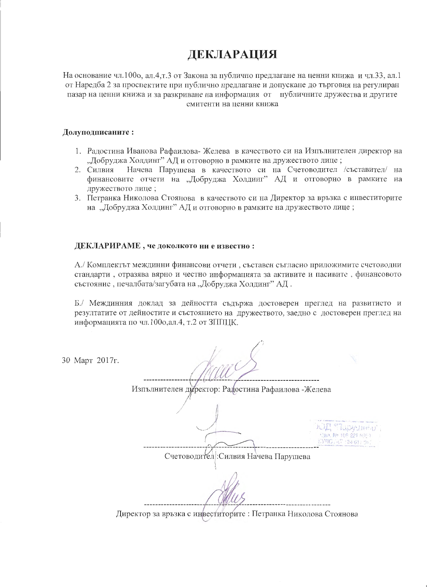# ДЕКЛАРАЦИЯ

На основание чл.1000, ал.4,т.3 от Закона за публично предлагане на ценни книжа и чл.33, ал.1 от Наредба 2 за проспектите при публично предлагане и допускане до търговия на регулиран пазар на ценни книжа и за разкриване на информация от публичните дружества и другите емитенти на пенни книжа

### Долуподписаните:

- 1. Ралостина Иванова Рафаилова-Желева в качеството си на Изпълнителен директор на "Добруджа Холдинг" АД и отговорно в рамките на дружеството лице;
- Начева Парушева в качеството си на Счетоводител /съставител/ на 2. Силвия финансовите отчети на "Добруджа Холдинг" АД и отговорно в рамките на дружеството лице;
- 3. Петранка Николова Стоянова в качеството си на Директор за връзка с инвеститорите на "Добруджа Холдинг" АД и отговорно в рамките на дружеството лице;

#### ДЕКЛАРИРАМЕ, че доколкото ни е известно:

А./ Комплектът междинни финансови отчети, съставен съгласно приложимите счетоводни стандарти, отразява вярно и честно информацията за активите и пасивите, финансовото състояние, печалбата/загубата на "Добруджа Холдинг" АД.

Б./ Междинния доклад за дейността съдържа достоверен преглед на развитието и резултатите от дейностите и състоянието на дружеството, заедно с достоверен преглед на информацията по чл.1000, ал.4, т.2 от ЗППЦК.

30 Март 2017г.

Изпълнителен директор: Радостина Рафаилова - Желева I "Tabwiech Van, No. 108-221 605-1 EVROUNT (24.617.0 Счетоводител: Силвия Начева Парушева

Директор за връзка с инвеститорите: Петранка Николова Стоянова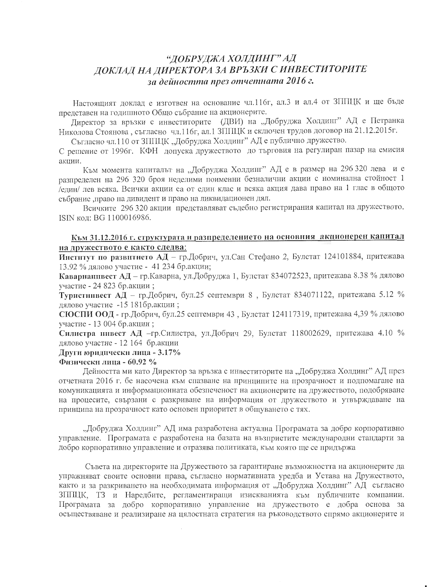# "ДОБРУДЖА ХОЛДИНГ" АД ДОКЛАД НА ДИРЕКТОРА ЗА ВРЪЗКИ С ИНВЕСТИТОРИТЕ за дейността през отчетната 2016 г.

Настоящият доклад е изготвен на основание чл.116г, ал.3 и ал.4 от ЗППЦК и ще бъде представен на годишното Общо събрание на акционерите.

Директор за връзки с инвеститорите (ДВИ) на "Добруджа Холдинг" АД е Петранка Николова Стоянова, съгласно чл.116г, ал.1 ЗППЦК и сключен трудов договор на 21.12.2015 г.

Съгласно чл.110 от ЗППЦК "Добруджа Холдинг" АД е публично дружество.

С решение от 1996г. КФН допуска дружеството до търговия на регулиран пазар на емисия акции.

Към момента капиталът на "Добруджа Холдинг" АД е в размер на 296 320 лева и е разпределен на 296 320 броя неделими поименни безналични акции с номинална стойност 1 /един/ лев всяка. Всички акции са от един клас и всяка акция дава право на 1 глас в общото събрание ,право на дивидент и право на ликвидационен дял.

Всичките 296 320 акции представляват съдебно регистрирания капитал на дружеството. ISIN кол: BG 1100016986.

## Към 31.12.2016 г. структурата и разпределението на основния акционерен капитал на дружеството е както следва:

Институт по развитието АД - гр.Добрич, ул.Сан Стефано 2, Булстат 124101884, притежава 13.92 % дялово участие - 41 234 бр.акции;

Каварнаннвест АД - гр. Каварна, ул. Добруджа 1, Булстат 834072523, притежава 8.38 % дялово участие - 24 823 бр.акции;

**Туристинвест** АД – гр.Добрич, бул.25 септември 8, Булстат 834071122, притежава 5.12 % дялово участие -15 181бр. акции;

СЮСПИ ООД - гр.Добрич, бул.25 септември 43, Булстат 124117319, притежава 4,39 % дялово участие - 13 004 бр.акции;

Силистра инвест АД -гр. Силистра, ул. Добрич 29, Булстат 118002629, притежава 4.10 % дялово участие - 12 164 бр.акции

Други юридически лица - 3.17%

#### Физически лица - 60.92 %

Дейността ми като Директор за връзка с инвеститорите на "Добруджа Холдинг" АД през отчетната 2016 г. бе насочена към спазване на принципите на прозрачност и подпомагане на комуникацията и информационната обезпеченост на акционерите на дружеството, подобряване на процесите, свързани с разкриване на информация от дружеството и утвърждаване на принципа на прозрачност като основен приоритет в общуването с тях.

"Добруджа Холдинг" АД има разработена актуална Програмата за добро корпоративно управление. Програмата е разработена на базата на възприетите международни стандарти за добро корпоративно управление и отразява политиката, към която ще се придържа

Съвета на директорите на Дружеството за гарантиране възможността на акционерите да упражняват своите основни права, съгласно нормативната уредба и Устава на Дружеството, както и за разкриването на необходимата информация от "Добруджа Холдинг" АД съгласно ЗППЦК, ТЗ и Наредбите, регламентиращи изискванията към публичните компании. Програмата за добро корпоративно управление на дружеството е добра основа за осъществяване и реализиране на цялостната стратегия на ръководството спрямо акционерите и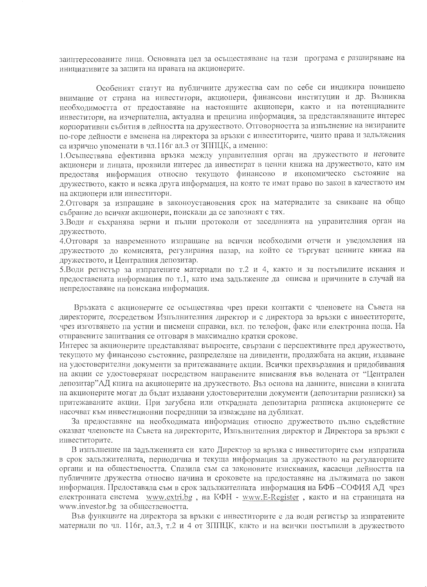заинтересованите лица. Основната цел за осъществяване на тази програма е разширяване на инициативите за защита на правата на акционерите.

Особеният статут на публичните дружества сам по себе си индикира повишено внимание от страна на инвеститори, акционери, финансови институции и др. Възниква необходимостта от предоставяне на настоящите акционери, както и на потенциалните инвеститори, на изчерпателна, актуална и прецизна информация, за представляващите интерес корпоративни събития в дейността на дружеството. Отговорността за изпълнение на визираните по-горе дейности е вменена на директора за връзки с инвеститорите, чиито права и задължения са изрично упоменати в чл.116г ал.3 от ЗППЦК, а именно:

1. Осъществява ефективна връзка между управителния орган на дружеството и неговите акционери и лицата, проявили интерес да инвестират в ценни книжа на дружеството, като им предоставя информация относно текущото финансово и икономическо състояние на дружеството, както и всяка друга информация, на която те имат право по закон в качеството им на акционери или инвеститори.

2. Отговаря за изпращане в законоустановения срок на материалите за свикване на общо събрание до всички акционери, поискали да се запознаят с тях.

3. Води и съхранява верни и пълни протоколи от заседанията на управителния орган на дружеството.

4. Отговаря за навременното изпращане на всички необходими отчети и уведомления на дружеството до комисията, регулирания пазар, на който се търгуват ценните книжа на дружеството, и Централния депозитар.

5. Води регистър за изпратените материали по т.2 и 4, както и за постъпилите искания и предоставената информация по т.1, като има задължение да описва и причините в случай на непредоставяне на поискана информация.

Връзката с акционерите се осъществява чрез преки контакти с членовете на Съвета на директорите, посредством Изпълнителния директор и с директора за връзки с инвеститорите, чрез изготвянето на устни и писмени справки, вкл. по телефон, факс или електронна поща. На отправените запитвания се отговаря в максимално кратки срокове.

Интерес за акционерите представляват въпросите, свързани с перспективите пред дружеството, текущото му финансово състояние, разпределяне на дивиденти, продажбата на акции, издаване на удостоверителни документи за притежаваните акции. Всички прехвърляния и придобивания на акции се удостоверяват посредством направените вписвания във водената от "Централен депозитар"АД книга на акционерите на дружеството. Въз основа на данните, вписани в книгата на акционерите могат да бъдат издавани удостоверителни документи (депозитарни разписки) за притежаваните акции. При загубена или открадната депозитарна разписка акционерите се насочват към инвестиционни посредници за изваждане на дубликат.

За предоставяне на необходимата информация относно дружеството пълно съдействие оказват членовете на Съвета на директорите, Изпълнителния директор и Директора за връзки с инвеститорите.

В изпълнение на задълженията си като Директор за връзка с инвеститорите съм изпратила в срок задължителната, периодична и текуща информация за дружеството на регулаторните органи и на обществеността. Спазила съм са законовите изисквания, касаещи дейността на публичните дружества относно начина и сроковете на предоставяне на дължимата по закон информация. Предоставяла съм в срок задължителната информация на БФБ - СОФИЯ АД чрез електронната система www.extri.bg, на КФН - www.E-Register, както и на страницата на www.investor.bg за обществеността.

Във функциите на директора за връзки с инвеститорите е да води регистър за изпратените материали по чл. 116г, ал.3, т.2 и 4 от ЗППЦК, както и на всички постъпили в дружеството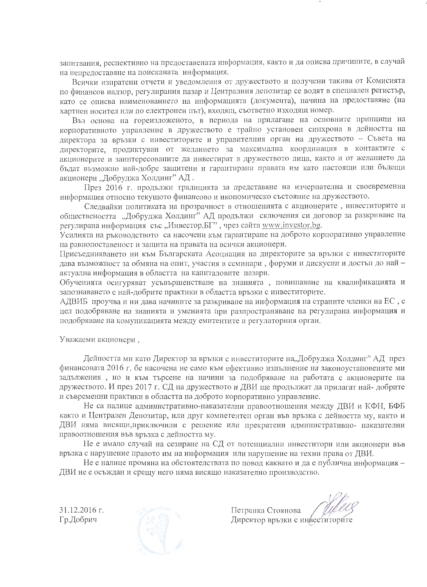запитвания, респективно на предоставената информация, както и да описва причините, в случай на непрелоставяне на поисканата информация.

Всички изпратени отчети и уведомления от дружеството и получени такива от Комисията по финансов надзор, регулирания пазар и Централния депозитар се водят в специален регистър, като се описва наименованието на информацията (документа), начина на предоставяне (на хартиен носител или по електронен път), входящ, съответно изходящ номер.

Въз основа на гореизложеното, в периода на прилагане на основните принципи на корпоративното управление в дружеството е трайно установен синхрона в дейността на директора за връзки с инвеститорите и управителния орган на дружеството - Съвета на директорите, продиктуван от желанието за максимална координация в контактите с акционерите и заинтересованите да инвестират в дружеството лица, както и от желанието да бъдат възможно най-добре защитени и гарантирани правата им като настоящи или бъдещи акционери "Добруджа Холдинг" АД.

През 2016 г. продължи традицията за представяне на изчерпателна и своевременна информация относно текущото финансово и икономическо състояние на дружеството.

Следвайки политиката на прозрачност в отношенията с акционерите, инвеститорите и обществеността "Добруджа Холдинг" АД продължи сключения си договор за разкриване на регулирана информация със "Инвестор.БГ", чрез сайта www.investor.bg.

Усилията на ръководството са насочени към гарантиране на доброто корпоративно управление на равнопоставеност и защита на правата на всички акционери.

Присъединяването ни към Българската Асоциация на директорите за връзки с инвеститорите дава възможност за обмяна на опит, участия в семинари, форуми и дискусии и достъп до найактуална информация в областта на капиталовите пазари.

Обученията осигуряват усъвършенстване на знанията, повишаване на квалификацията и запознаването с най-добрите практики в областта връзки с инвеститорите.

АДВИБ проучва и ни дава начините за разкриване на информация на страните членки на ЕС, с цел подобряване на знанията и уменията при разпространяване на регулирана информация и подобряване на комуникацията между емитентите и регулаторния орган.

Уважаеми акционери,

Дейността ми като Директор за връзки с инвеститорите на, Добруджа Холдинг" АД през финансовата 2016 г. бе насочена не само към ефективно изпълнение на законоустановените ми задължения, но и към търсене на начини за подобряване на работата с акционерите на дружеството. И през 2017 г. СД на дружеството и ДВИ ще продължат да прилагат най-добрите и съвременни практики в областта на доброто корпоративно управление.

Не са налице административно-наказателни правоотношения между ДВИ и КФН, БФБ както и Централен Депозитар, или друг компетентен орган във връзка с дейността му, както и ДВИ няма висящи, приключили с решение или прекратени административно- наказателни правоотношения във връзка с дейността му.

Не е имало случай на сезиране на СД от потенциални инвеститори или акционери във връзка с нарушение правото им на информация или нарушение на техни права от ДВИ.

Не е налице промяна на обстоятелствата по повод каквато и да е публична информация -ДВИ не е осъждан и срещу него няма висящо наказателно производство.

31.12.2016 г. Гр.Добрич



Петранка Стоянова Директор връзки с инееститорите